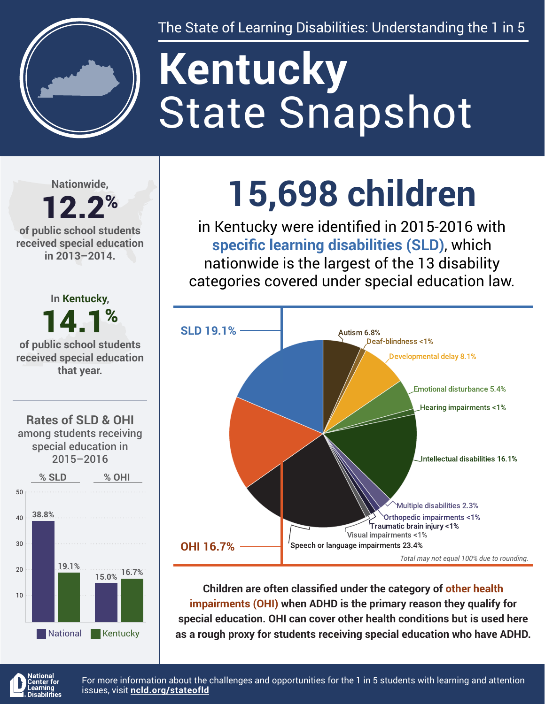

The State of Learning Disabilities: Understanding the 1 in 5

# State Snapshot **Kentucky**

**Nationwide,**

#### 12.2% **of public school students received special education in 2013–2014.**



## **15,698 children**

in Kentucky were identified in 2015-2016 with **specific learning disabilities (SLD)**, which nationwide is the largest of the 13 disability categories covered under special education law.



**Children are often classified under the category of other health impairments (OHI) when ADHD is the primary reason they qualify for special education. OHI can cover other health conditions but is used here as a rough proxy for students receiving special education who have ADHD.**



For more information about the challenges and opportunities for the 1 in 5 students with learning and attention issues, visit **[ncld.org/stateofld](http://ncld.org/stateofld)**